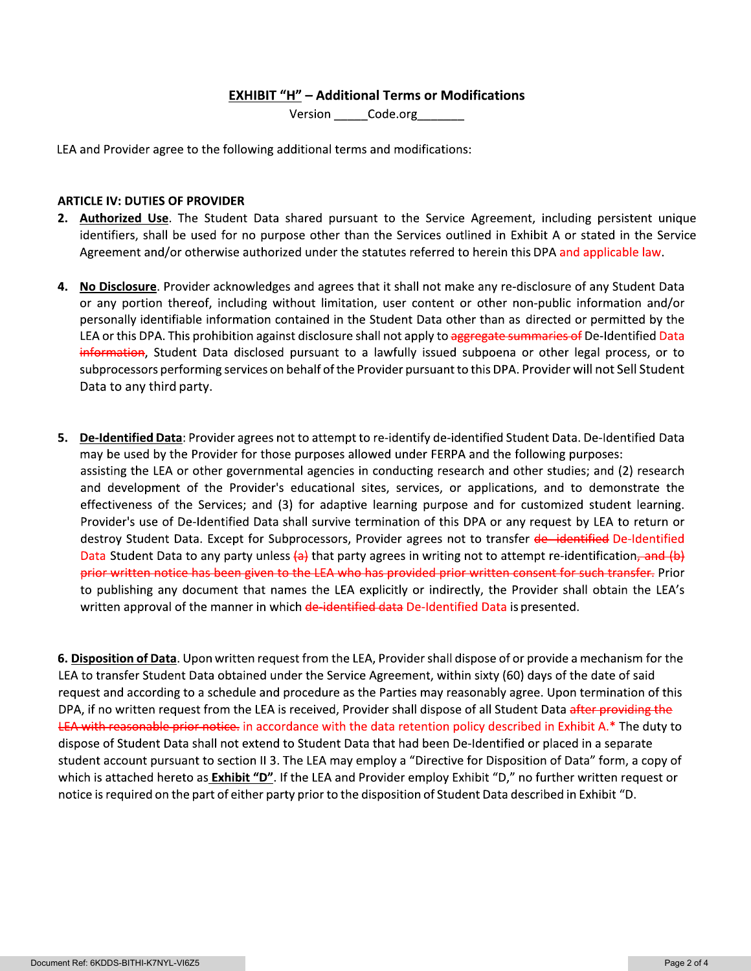### **EXHIBIT "H" - Additional Terms or Modifications**

Version Code.org

LEA and Provider agree to the following additional terms and modifications:

### **ARTICLE IV: DUTIES OF PROVIDER**

- 2. Authorized Use. The Student Data shared pursuant to the Service Agreement, including persistent unique identifiers, shall be used for no purpose other than the Services outlined in Exhibit A or stated in the Service Agreement and/or otherwise authorized under the statutes referred to herein this DPA and applicable law.
- 4. No Disclosure. Provider acknowledges and agrees that it shall not make any re-disclosure of any Student Data or any portion thereof, including without limitation, user content or other non-public information and/or personally identifiable information contained in the Student Data other than as directed or permitted by the LEA or this DPA. This prohibition against disclosure shall not apply to aggregate summaries of De-Identified Data information, Student Data disclosed pursuant to a lawfully issued subpoena or other legal process, or to subprocessors performing services on behalf of the Provider pursuant to this DPA. Provider will not Sell Student Data to any third party.
- 5. De-Identified Data: Provider agrees not to attempt to re-identify de-identified Student Data. De-Identified Data may be used by the Provider for those purposes allowed under FERPA and the following purposes: assisting the LEA or other governmental agencies in conducting research and other studies; and (2) research and development of the Provider's educational sites, services, or applications, and to demonstrate the effectiveness of the Services; and (3) for adaptive learning purpose and for customized student learning. Provider's use of De-Identified Data shall survive termination of this DPA or any request by LEA to return or destroy Student Data. Except for Subprocessors, Provider agrees not to transfer de-identified De-Identified Data Student Data to any party unless  $\left\{\alpha\right\}$  that party agrees in writing not to attempt re-identification, and  $\left(\beta\right)$ prior written notice has been given to the LEA who has provided prior written consent for such transfer. Prior to publishing any document that names the LEA explicitly or indirectly, the Provider shall obtain the LEA's written approval of the manner in which de-identified data De-Identified Data is presented.

6. Disposition of Data. Upon written request from the LEA, Provider shall dispose of or provide a mechanism for the LEA to transfer Student Data obtained under the Service Agreement, within sixty (60) days of the date of said request and according to a schedule and procedure as the Parties may reasonably agree. Upon termination of this DPA, if no written request from the LEA is received, Provider shall dispose of all Student Data after providing the LEA with reasonable prior notice, in accordance with the data retention policy described in Exhibit A.\* The duty to dispose of Student Data shall not extend to Student Data that had been De-Identified or placed in a separate student account pursuant to section II 3. The LEA may employ a "Directive for Disposition of Data" form, a copy of which is attached hereto as **Exhibit "D"**. If the LEA and Provider employ Exhibit "D," no further written request or notice is required on the part of either party prior to the disposition of Student Data described in Exhibit "D.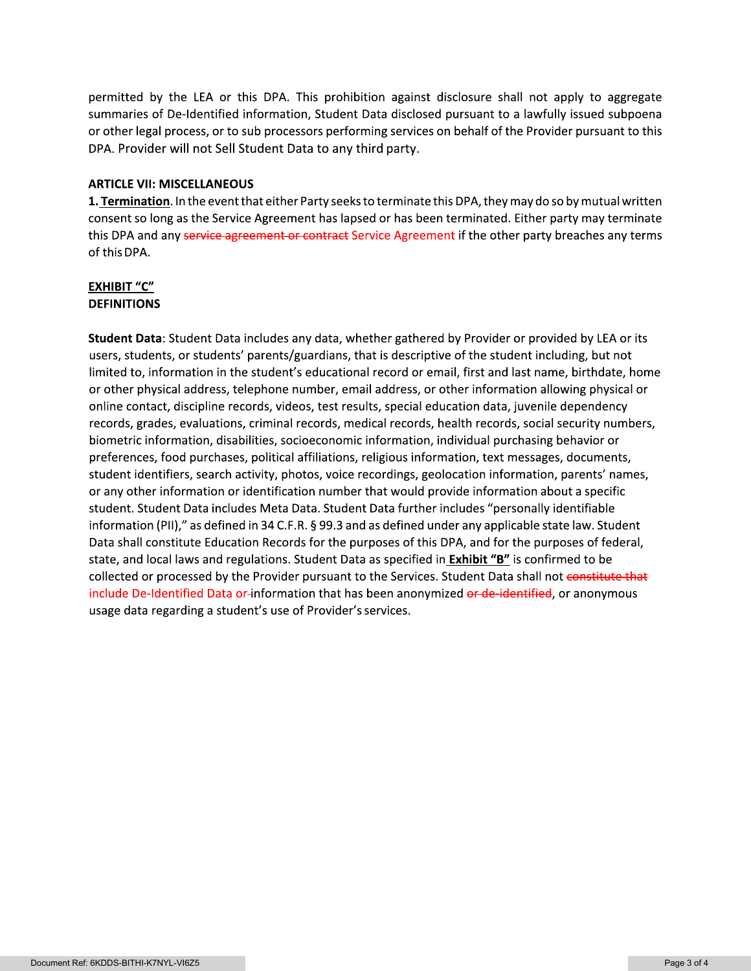permitted by the LEA or this DPA. This prohibition against disclosure shall not apply to aggregate summaries of De-Identified information, Student Data disclosed pursuant to a lawfully issued subpoena (Sungoon or other legal process, or to sub processors performing services on behalf of the Provider pursuant to this la DPA. Provider will not Sell Student Data to any third party.

permitted by the LEA or this DPA. This pr<br>summaries of De-Identified information, Stuar or other legal process, or to sub processors p<br>DPA. Provider will not Sell Student Data to a<br>**ARTICLE VII: MISCELLANEOUS**<br>**1. <u>Termina**</u> **1. <u>Termination</u>.** In the event that either Party seeks to terminate this DPA, they may do so by mutual written consent so long as the Service Agreement has lapsed or has been terminated. Lither party may terminate this DPA and any <del>service agreement or contract</del> Service Agreement if the other party breaches any terms  $\overline{\phantom{a}}$ of this DPA.

### EXHIBIT "C" **DEFINITIONS**

**Student Data**: Student Data includes any data, whether gathered by Provider or provided by LEA or its last that i users, students, or students' parents/guardians, that is descriptive of the student including, but not ---Z---- -or other physical address, telephone number, email address, or other information allowing physical or online contact, discipline records, videos, test results, special education data, juvenile dependency records, grades, evaluations, criminal records, medical records, health records, social security numbers,  $\,$ biometric information, disabilities, socioeconomic information, individual purchasing behavior or preferences, food purchases, political affiliations, religious information, text messages, documents, student identifiers, search activity, photos, voice recordings, geolocation information, parents' names, or any other information or identification number that would provide information about a specific  $\;$ student. Student Data includes Meta Data. Student Data fürther includes "personally identifiable" i information (PII)," as defined in 34 C.F.R. § 99.3 and as defined under any applicable state law. Student  $\;$ Data shall constitute Education Records for the purposes of this DPA, and for the purposes of federal,  $\,$ state, and local laws and regulations. Student Data as specified in <mark>Exhibit "B"</mark> is confirmed to be collected or processed by the Provider pursuant to the Services. Student Data shall not <del>constitute that</del> include De-Identified Data or-information that has been anonymized <del>or de-identified</del>, or anonymous usage data regarding a student's use of Provider's services.